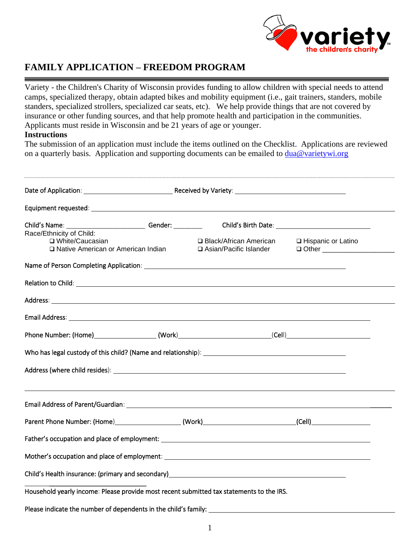

## **FAMILY APPLICATION – FREEDOM PROGRAM**

Variety - the Children's Charity of Wisconsin provides funding to allow children with special needs to attend camps, specialized therapy, obtain adapted bikes and mobility equipment (i.e., gait trainers, standers, mobile standers, specialized strollers, specialized car seats, etc). We help provide things that are not covered by insurance or other funding sources, and that help promote health and participation in the communities. Applicants must reside in Wisconsin and be 21 years of age or younger.

### **Instructions**

The submission of an application must include the items outlined on the Checklist. Applications are reviewed on a quarterly basis. Application and supporting documents can be emailed to  $\frac{dua@varietywi.org}{dua@varietywi.org}$ 

| Race/Ethnicity of Child:                                                                                                |                                                      |                      |
|-------------------------------------------------------------------------------------------------------------------------|------------------------------------------------------|----------------------|
| □ White/Caucasian<br>□ Native American or American Indian                                                               | □ Black/African American<br>□ Asian/Pacific Islander | □ Hispanic or Latino |
| Name of Person Completing Application: Name of Person and Application and Application of Person Completing Application: |                                                      |                      |
|                                                                                                                         |                                                      |                      |
|                                                                                                                         |                                                      |                      |
|                                                                                                                         |                                                      |                      |
| Phone Number: (Home)______________________(Work)________________________________(Cell)________________________          |                                                      |                      |
|                                                                                                                         |                                                      |                      |
|                                                                                                                         |                                                      |                      |
| Email Address of Parent/Guardian: University of the Contract of the Contract of the Contract of the Contract of         |                                                      |                      |
|                                                                                                                         |                                                      |                      |
|                                                                                                                         |                                                      |                      |
|                                                                                                                         |                                                      |                      |
| Child's Health insurance: (primary and secondary)<br><u>Child's Health insurance: (primary and secondary)</u>           |                                                      |                      |
| Household yearly income: Please provide most recent submitted tax statements to the IRS.                                |                                                      |                      |
|                                                                                                                         |                                                      |                      |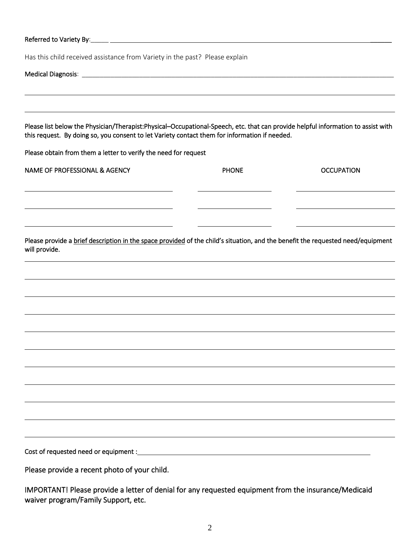| Referred to Variety By: \\connect\\ \\connect\\ \\connect\\ \\connect\\ \\connect\\ \\connect\\ \\connect\\ \\connect\\ \\connect\\ \\connect\\ \\connect\\ \\connect\\ \\connect\\ \\connect\\ \\connect\\ \\connect\\ \\conn    |              |                   |
|-----------------------------------------------------------------------------------------------------------------------------------------------------------------------------------------------------------------------------------|--------------|-------------------|
| Has this child received assistance from Variety in the past? Please explain                                                                                                                                                       |              |                   |
|                                                                                                                                                                                                                                   |              |                   |
| Please list below the Physician/Therapist:Physical-Occupational-Speech, etc. that can provide helpful information to assist with<br>this request. By doing so, you consent to let Variety contact them for information if needed. |              |                   |
| Please obtain from them a letter to verify the need for request                                                                                                                                                                   |              |                   |
| <b>NAME OF PROFESSIONAL &amp; AGENCY</b>                                                                                                                                                                                          | <b>PHONE</b> | <b>OCCUPATION</b> |
|                                                                                                                                                                                                                                   |              |                   |
| Please provide a brief description in the space provided of the child's situation, and the benefit the requested need/equipment<br>will provide.                                                                                  |              |                   |
|                                                                                                                                                                                                                                   |              |                   |
|                                                                                                                                                                                                                                   |              |                   |
|                                                                                                                                                                                                                                   |              |                   |
|                                                                                                                                                                                                                                   |              |                   |
|                                                                                                                                                                                                                                   |              |                   |
|                                                                                                                                                                                                                                   |              |                   |
|                                                                                                                                                                                                                                   |              |                   |
|                                                                                                                                                                                                                                   |              |                   |
|                                                                                                                                                                                                                                   |              |                   |
|                                                                                                                                                                                                                                   |              |                   |
|                                                                                                                                                                                                                                   |              |                   |
| Please provide a recent photo of your child.                                                                                                                                                                                      |              |                   |

IMPORTANT! Please provide a letter of denial for any requested equipment from the insurance/Medicaid waiver program/Family Support, etc.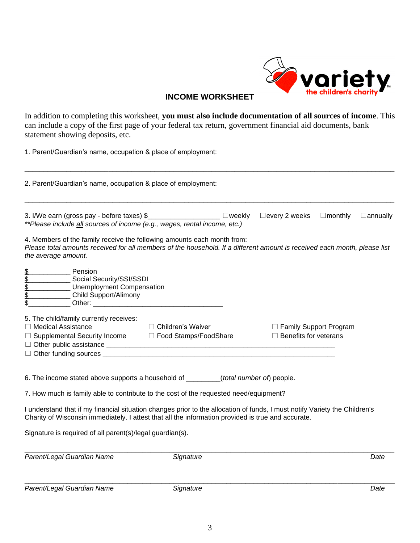

### **INCOME WORKSHEET**

In addition to completing this worksheet, **you must also include documentation of all sources of income**. This can include a copy of the first page of your federal tax return, government financial aid documents, bank statement showing deposits, etc.

1. Parent/Guardian's name, occupation & place of employment:

| 2. Parent/Guardian's name, occupation & place of employment:                                                                                                                                                                                                                                                              |           |                                                          |                                   |
|---------------------------------------------------------------------------------------------------------------------------------------------------------------------------------------------------------------------------------------------------------------------------------------------------------------------------|-----------|----------------------------------------------------------|-----------------------------------|
| 3. I/We earn (gross pay - before taxes) \$______________________ □weekly<br>**Please include all sources of income (e.g., wages, rental income, etc.)                                                                                                                                                                     |           | $\Box$ every 2 weeks                                     | $\Box$ monthly<br>$\Box$ annually |
| 4. Members of the family receive the following amounts each month from:<br>Please total amounts received for all members of the household. If a different amount is received each month, please list<br>the average amount.                                                                                               |           |                                                          |                                   |
| \$100000<br>Pension<br>Social Security/SSI/SSDI<br>___ Unemployment Compensation<br>Child Support/Alimony                                                                                                                                                                                                                 |           |                                                          |                                   |
| 5. The child/family currently receives:<br>□ Medical Assistance<br>□ Children's Waiver<br>$\Box$ Supplemental Security Income $\Box$ Food Stamps/FoodShare<br>$\Box$ Other funding sources $\Box$                                                                                                                         |           | □ Family Support Program<br>$\Box$ Benefits for veterans |                                   |
| 6. The income stated above supports a household of _______(total number of) people.                                                                                                                                                                                                                                       |           |                                                          |                                   |
| 7. How much is family able to contribute to the cost of the requested need/equipment?<br>I understand that if my financial situation changes prior to the allocation of funds, I must notify Variety the Children's<br>Charity of Wisconsin immediately. I attest that all the information provided is true and accurate. |           |                                                          |                                   |
| Signature is required of all parent(s)/legal guardian(s).                                                                                                                                                                                                                                                                 |           |                                                          |                                   |
| Parent/Legal Guardian Name                                                                                                                                                                                                                                                                                                | Signature |                                                          | Date                              |
| Parent/Legal Guardian Name                                                                                                                                                                                                                                                                                                | Signature |                                                          | Date                              |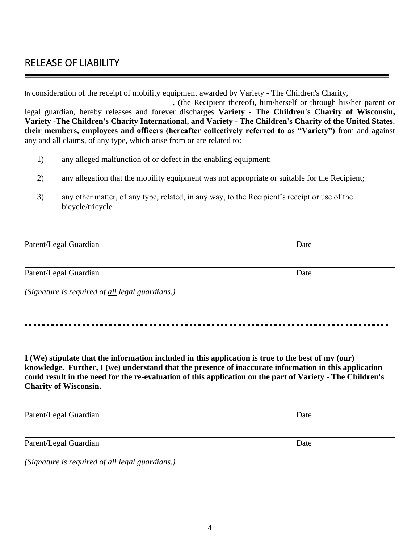4

# RELEASE OF LIABILITY

In consideration of the receipt of mobility equipment awarded by Variety - The Children's Charity,

, (the Recipient thereof), him/herself or through his/her parent or legal guardian, hereby releases and forever discharges **Variety - The Children's Charity of Wisconsin, Variety -The Children's Charity International, and Variety - The Children's Charity of the United States**, **their members, employees and officers (hereafter collectively referred to as "Variety")** from and against any and all claims, of any type, which arise from or are related to:

- 1) any alleged malfunction of or defect in the enabling equipment;
- 2) any allegation that the mobility equipment was not appropriate or suitable for the Recipient;
- 3) any other matter, of any type, related, in any way, to the Recipient's receipt or use of the bicycle/tricycle

| Parent/Legal Guardian                           | Date |
|-------------------------------------------------|------|
|                                                 |      |
| Parent/Legal Guardian                           | Date |
| (Signature is required of all legal guardians.) |      |

**I (We) stipulate that the information included in this application is true to the best of my (our) knowledge. Further, I (we) understand that the presence of inaccurate information in this application could result in the need for the re-evaluation of this application on the part of Variety - The Children's Charity of Wisconsin.**

Parent/Legal Guardian Date

Parent/Legal Guardian Date

*(Signature is required of all legal guardians.)*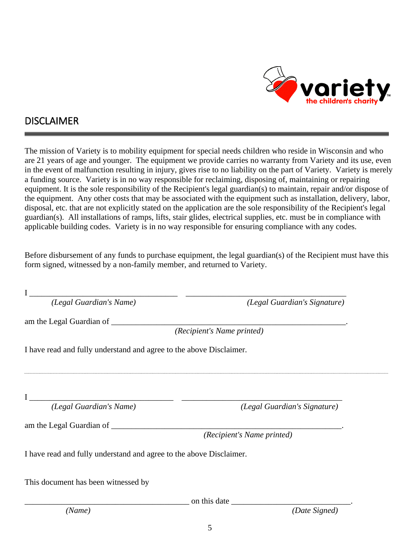

## DISCLAIMER

The mission of Variety is to mobility equipment for special needs children who reside in Wisconsin and who are 21 years of age and younger. The equipment we provide carries no warranty from Variety and its use, even in the event of malfunction resulting in injury, gives rise to no liability on the part of Variety. Variety is merely a funding source. Variety is in no way responsible for reclaiming, disposing of, maintaining or repairing equipment. It is the sole responsibility of the Recipient's legal guardian(s) to maintain, repair and/or dispose of the equipment. Any other costs that may be associated with the equipment such as installation, delivery, labor, disposal, etc. that are not explicitly stated on the application are the sole responsibility of the Recipient's legal guardian(s). All installations of ramps, lifts, stair glides, electrical supplies, etc. must be in compliance with applicable building codes. Variety is in no way responsible for ensuring compliance with any codes.

Before disbursement of any funds to purchase equipment, the legal guardian(s) of the Recipient must have this form signed, witnessed by a non-family member, and returned to Variety.

I \_\_\_\_\_\_\_\_\_\_\_\_\_\_\_\_\_\_\_\_\_\_\_\_\_\_\_\_\_\_\_\_\_\_\_\_ \_\_\_\_\_\_\_\_\_\_\_\_\_\_\_\_\_\_\_\_\_\_\_\_\_\_\_\_\_\_\_\_\_\_\_\_\_\_\_

*(Legal Guardian's Name) (Legal Guardian's Signature)*

am the Legal Guardian of \_\_\_\_\_\_\_\_\_\_\_\_\_\_\_\_\_\_\_\_\_\_\_\_\_\_\_\_\_\_\_\_\_\_\_\_\_\_\_\_\_\_\_\_\_\_\_\_\_\_\_\_\_\_\_\_\_.

*(Recipient's Name printed)*

I have read and fully understand and agree to the above Disclaimer.

 $I$   $\qquad \qquad$   $\qquad \qquad$   $\qquad \qquad$   $\qquad \qquad$   $\qquad \qquad$   $\qquad \qquad$   $\qquad \qquad$   $\qquad \qquad$   $\qquad \qquad$   $\qquad \qquad$   $\qquad \qquad$   $\qquad \qquad$   $\qquad \qquad$   $\qquad \qquad$   $\qquad \qquad$   $\qquad \qquad$   $\qquad \qquad$   $\qquad \qquad$   $\qquad \qquad$   $\qquad \qquad$   $\qquad \qquad$   $\qquad \qquad$   $\qquad \qquad$   $\qquad \qquad$ 

*(Legal Guardian's Name) (Legal Guardian's Signature)*

am the Legal Guardian of \_\_\_\_\_\_\_\_\_\_\_\_\_\_\_\_\_\_\_\_\_\_\_\_\_\_\_\_\_\_\_\_\_\_\_\_\_\_\_\_\_\_\_\_\_\_\_\_\_\_\_\_\_\_\_\_.

*(Recipient's Name printed)*

I have read and fully understand and agree to the above Disclaimer.

This document has been witnessed by

 $\blacksquare$  on this date  $\blacksquare$ 

*(Name) (Date Signed)*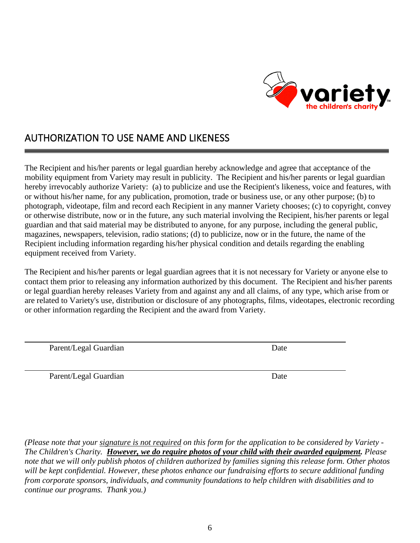

## AUTHORIZATION TO USE NAME AND LIKENESS

The Recipient and his/her parents or legal guardian hereby acknowledge and agree that acceptance of the mobility equipment from Variety may result in publicity. The Recipient and his/her parents or legal guardian hereby irrevocably authorize Variety: (a) to publicize and use the Recipient's likeness, voice and features, with or without his/her name, for any publication, promotion, trade or business use, or any other purpose; (b) to photograph, videotape, film and record each Recipient in any manner Variety chooses; (c) to copyright, convey or otherwise distribute, now or in the future, any such material involving the Recipient, his/her parents or legal guardian and that said material may be distributed to anyone, for any purpose, including the general public, magazines, newspapers, television, radio stations; (d) to publicize, now or in the future, the name of the Recipient including information regarding his/her physical condition and details regarding the enabling equipment received from Variety.

The Recipient and his/her parents or legal guardian agrees that it is not necessary for Variety or anyone else to contact them prior to releasing any information authorized by this document. The Recipient and his/her parents or legal guardian hereby releases Variety from and against any and all claims, of any type, which arise from or are related to Variety's use, distribution or disclosure of any photographs, films, videotapes, electronic recording or other information regarding the Recipient and the award from Variety.

Parent/Legal Guardian Date

Parent/Legal Guardian Date

*(Please note that your signature is not required on this form for the application to be considered by Variety - The Children's Charity. However, we do require photos of your child with their awarded equipment. Please note that we will only publish photos of children authorized by families signing this release form. Other photos will be kept confidential. However, these photos enhance our fundraising efforts to secure additional funding from corporate sponsors, individuals, and community foundations to help children with disabilities and to continue our programs. Thank you.)*